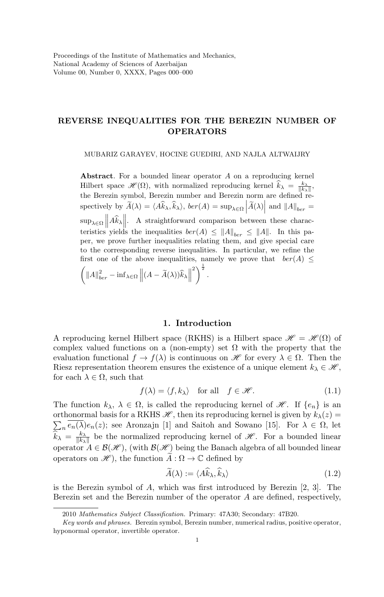## REVERSE INEQUALITIES FOR THE BEREZIN NUMBER OF OPERATORS

MUBARIZ GARAYEV, HOCINE GUEDIRI, AND NAJLA ALTWAIJRY

Abstract. For a bounded linear operator A on a reproducing kernel Hilbert space  $\mathscr{H}(\Omega)$ , with normalized reproducing kernel  $\widehat{k}_{\lambda} = \frac{k_{\lambda}}{\|k_{\lambda}\|}$ , the Berezin symbol, Berezin number and Berezin norm are defined respectively by  $\widetilde{A}(\lambda) = \langle A\widehat{k}_{\lambda}, \widehat{k}_{\lambda} \rangle$ ,  $ber(A) = \sup_{\lambda \in \Omega} \left| \widetilde{A}(\lambda) \right|$  and  $||A||_{ber} =$  $\sup_{\lambda \in \Omega} ||A\hat{k}_{\lambda}||.$  A straightforward comparison between these characteristics yields the inequalities  $ber(A) \leq ||A||_{ber} \leq ||A||$ . In this paper, we prove further inequalities relating them, and give special care to the corresponding reverse inequalities. In particular, we refine the first one of the above inequalities, namely we prove that  $ber(A) \leq$  $\left( \Vert A\Vert_{ber}^2 - \inf_{\lambda \in \Omega} \left\Vert (A - \widetilde{A}(\lambda))\widehat{k}_{\lambda} \right\Vert \right)$ <sup>2</sup>
<sup>2</sup>
<sup>2</sup>
<sup>2</sup>
.

## 1. Introduction

A reproducing kernel Hilbert space (RKHS) is a Hilbert space  $\mathcal{H} = \mathcal{H}(\Omega)$  of complex valued functions on a (non-empty) set  $\Omega$  with the property that the evaluation functional  $f \to f(\lambda)$  is continuous on  $\mathscr{H}$  for every  $\lambda \in \Omega$ . Then the Riesz representation theorem ensures the existence of a unique element  $k_{\lambda} \in \mathcal{H}$ , for each  $\lambda \in \Omega$ , such that

$$
f(\lambda) = \langle f, k_{\lambda} \rangle \quad \text{for all} \quad f \in \mathcal{H}.
$$
 (1.1)

The function  $k_{\lambda}, \lambda \in \Omega$ , is called the reproducing kernel of  $\mathscr{H}$ . If  $\{e_n\}$  is an orthonormal basis for a RKHS  $\mathscr{H}$ , then its reproducing kernel is given by  $k_{\lambda}(z)$  =  $\sum_{n} e_n(\lambda) e_n(z)$ ; see Aronzajn [1] and Saitoh and Sowano [15]. For  $\lambda \in \Omega$ , let  $\widehat{k}_{\lambda} = \frac{k_{\lambda}}{\|k_{\lambda}}$  $\frac{k_{\lambda}}{||k_{\lambda}||}$  be the normalized reproducing kernel of  $\mathscr{H}$ . For a bounded linear operator  $A \in \mathcal{B}(\mathcal{H})$ , (with  $\mathcal{B}(\mathcal{H})$  being the Banach algebra of all bounded linear operators on  $\mathscr{H}$ , the function  $A:\Omega\to\mathbb{C}$  defined by

$$
\tilde{A}(\lambda) := \langle A\hat{k}_{\lambda}, \hat{k}_{\lambda} \rangle \tag{1.2}
$$

is the Berezin symbol of  $A$ , which was first introduced by Berezin  $[2, 3]$ . The Berezin set and the Berezin number of the operator A are defined, respectively,

<sup>2010</sup> Mathematics Subject Classification. Primary: 47A30; Secondary: 47B20.

Key words and phrases. Berezin symbol, Berezin number, numerical radius, positive operator, hyponormal operator, invertible operator.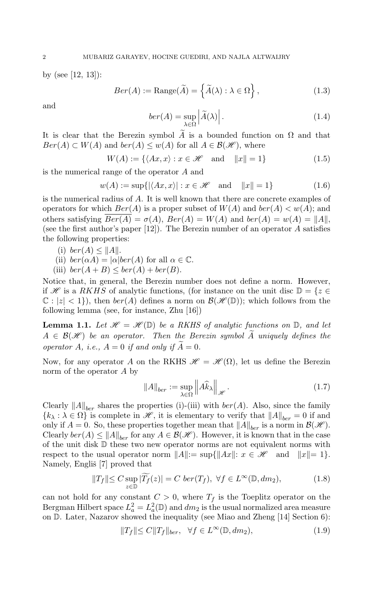by (see [12, 13]):

$$
Ber(A) := \text{Range}(\widetilde{A}) = \left\{ \widetilde{A}(\lambda) : \lambda \in \Omega \right\},\tag{1.3}
$$

and

$$
ber(A) = \sup_{\lambda \in \Omega} \left| \widetilde{A}(\lambda) \right|.
$$
 (1.4)

It is clear that the Berezin symbol  $\tilde{A}$  is a bounded function on  $\Omega$  and that  $Ber(A) \subset W(A)$  and  $ber(A) \leq w(A)$  for all  $A \in \mathcal{B}(\mathcal{H})$ , where

$$
W(A) := \{ \langle Ax, x \rangle : x \in \mathcal{H} \quad \text{and} \quad ||x|| = 1 \}
$$
 (1.5)

is the numerical range of the operator A and

$$
w(A) := \sup\{ |\langle Ax, x \rangle| : x \in \mathcal{H} \quad \text{and} \quad ||x|| = 1 \}
$$
 (1.6)

is the numerical radius of A. It is well known that there are concrete examples of operators for which  $Ber(A)$  is a proper subset of  $W(A)$  and  $ber(A) < w(A)$ ; and others satisfying  $Ber(A) = \sigma(A)$ ,  $Ber(A) = W(A)$  and  $ber(A) = w(A) = ||A||$ , (see the first author's paper  $[12]$ ). The Berezin number of an operator A satisfies the following properties:

(i) ber(A)  $\leq$  ||A||.

(ii) 
$$
ber(\alpha A) = |\alpha|ber(A)
$$
 for all  $\alpha \in \mathbb{C}$ .

(iii)  $ber(A + B) \leq ber(A) + ber(B)$ .

Notice that, in general, the Berezin number does not define a norm. However, if H is a RKHS of analytic functions, (for instance on the unit disc  $\mathbb{D} = \{z \in$  $\mathbb{C}: |z| < 1$ , then  $ber(A)$  defines a norm on  $\mathcal{B}(\mathcal{H}(\mathbb{D}))$ ; which follows from the following lemma (see, for instance, Zhu [16])

**Lemma 1.1.** Let  $\mathcal{H} = \mathcal{H}(\mathbb{D})$  be a RKHS of analytic functions on  $\mathbb{D}$ , and let  $A \in \mathcal{B}(\mathcal{H})$  be an operator. Then the Berezin symbol A uniquely defines the operator A, i.e.,  $A = 0$  if and only if  $A = 0$ .

Now, for any operator A on the RKHS  $\mathscr{H} = \mathscr{H}(\Omega)$ , let us define the Berezin norm of the operator A by

$$
||A||_{ber} := \sup_{\lambda \in \Omega} ||A\widehat{k}_{\lambda}||_{\mathscr{H}}.
$$
 (1.7)

Clearly  $||A||_{ber}$  shares the properties (i)-(iii) with  $ber(A)$ . Also, since the family  ${k_{\lambda} : \lambda \in \Omega}$  is complete in  $\mathscr{H}$ , it is elementary to verify that  $||A||_{ber} = 0$  if and only if  $A = 0$ . So, these properties together mean that  $||A||_{ber}$  is a norm in  $\mathcal{B}(\mathcal{H})$ . Clearly  $ber(A) \leq ||A||_{ber}$  for any  $A \in \mathcal{B}(\mathcal{H})$ . However, it is known that in the case of the unit disk D these two new operator norms are not equivalent norms with respect to the usual operator norm  $||A||:= \sup\{||Ax||: x \in \mathcal{H} \text{ and } ||x||=1\}.$ Namely, Engliš [7] proved that

$$
||T_f|| \le C \sup_{z \in \mathbb{D}} |\widetilde{T_f}(z)| = C \, \text{ber}(T_f), \ \forall f \in L^{\infty}(\mathbb{D}, dm_2), \tag{1.8}
$$

can not hold for any constant  $C > 0$ , where  $T_f$  is the Toeplitz operator on the Bergman Hilbert space  $L_a^2 = L_a^2(\mathbb{D})$  and  $dm_2$  is the usual normalized area measure on  $\mathbb D$ . Later, Nazarov showed the inequality (see Miao and Zheng [14] Section 6):

$$
||T_f|| \le C||T_f||_{ber}, \quad \forall f \in L^{\infty}(\mathbb{D}, dm_2), \tag{1.9}
$$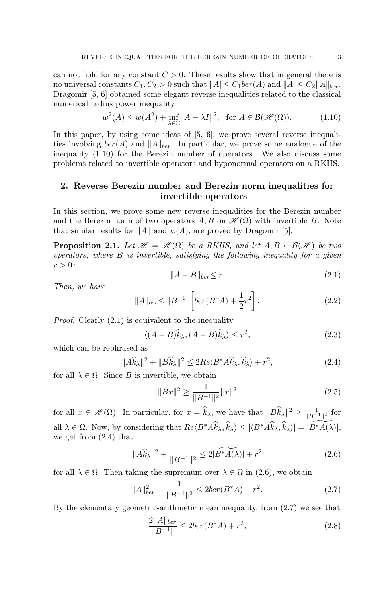can not hold for any constant  $C > 0$ . These results show that in general there is no universal constants  $C_1, C_2 > 0$  such that  $||A|| \leq C_1 \text{ber}(A)$  and  $||A|| \leq C_2 ||A||_{\text{ber}}$ . Dragomir [5, 6] obtained some elegant reverse inequalities related to the classical numerical radius power inequality

$$
w^{2}(A) \le w(A^{2}) + \inf_{\lambda \in \mathbb{C}} \|A - \lambda I\|^{2}, \text{ for } A \in \mathcal{B}(\mathcal{H}(\Omega)).
$$
 (1.10)

In this paper, by using some ideas of  $[5, 6]$ , we prove several reverse inequalities involving  $ber(A)$  and  $||A||_{ber}$ . In particular, we prove some analogue of the inequality (1.10) for the Berezin number of operators. We also discuss some problems related to invertible operators and hyponormal operators on a RKHS.

# 2. Reverse Berezin number and Berezin norm inequalities for invertible operators

In this section, we prove some new reverse inequalities for the Berezin number and the Berezin norm of two operators  $A, B$  on  $\mathcal{H}(\Omega)$  with invertible B. Note that similar results for  $||A||$  and  $w(A)$ , are proved by Dragomir [5].

**Proposition 2.1.** Let  $\mathcal{H} = \mathcal{H}(\Omega)$  be a RKHS, and let  $A, B \in \mathcal{B}(\mathcal{H})$  be two operators, where  $B$  is invertible, satisfying the following inequality for a given  $r > 0$ :

$$
||A - B||_{ber} \le r. \tag{2.1}
$$

Then, we have

$$
||A||_{ber} \le ||B^{-1}|| \left[ ber(B^*A) + \frac{1}{2}r^2 \right]. \tag{2.2}
$$

Proof. Clearly (2.1) is equivalent to the inequality

$$
\langle (A - B)\hat{k}_{\lambda}, (A - B)\hat{k}_{\lambda} \rangle \le r^2, \tag{2.3}
$$

which can be rephrased as

$$
||A\widehat{k}_{\lambda}||^{2} + ||B\widehat{k}_{\lambda}||^{2} \le 2Re\langle B^{*}A\widehat{k}_{\lambda}, \widehat{k}_{\lambda}\rangle + r^{2},
$$
\n(2.4)

for all  $\lambda \in \Omega$ . Since B is invertible, we obtain

$$
||Bx||^2 \ge \frac{1}{||B^{-1}||^2} ||x||^2
$$
\n(2.5)

for all  $x \in \mathscr{H}(\Omega)$ . In particular, for  $x = \hat{k}_{\lambda}$ , we have that  $||B\hat{k}_{\lambda}||^2 \ge \frac{1}{||B^{-1}||^2}$  for all  $\lambda \in \Omega$ . Now, by considering that  $Re\langle B^*A\hat{k}_{\lambda}, \hat{k}_{\lambda}\rangle \leq |\langle B^*A\hat{k}_{\lambda}, \hat{k}_{\lambda}\rangle| = |\widetilde{B^*A(\lambda)}|$ , we get from (2.4) that

$$
||A\widehat{k}_{\lambda}||^{2} + \frac{1}{||B^{-1}||^{2}} \le 2|\widetilde{B^{*}A(\lambda)}| + r^{2}
$$
 (2.6)

for all  $\lambda \in \Omega$ . Then taking the supremum over  $\lambda \in \Omega$  in (2.6), we obtain

$$
||A||_{ber}^{2} + \frac{1}{||B^{-1}||^{2}} \le 2ber(B^*A) + r^{2}.
$$
 (2.7)

By the elementary geometric-arithmetic mean inequality, from (2.7) we see that

$$
\frac{2\|A\|_{ber}}{\|B^{-1}\|} \le 2ber(B^*A) + r^2,\tag{2.8}
$$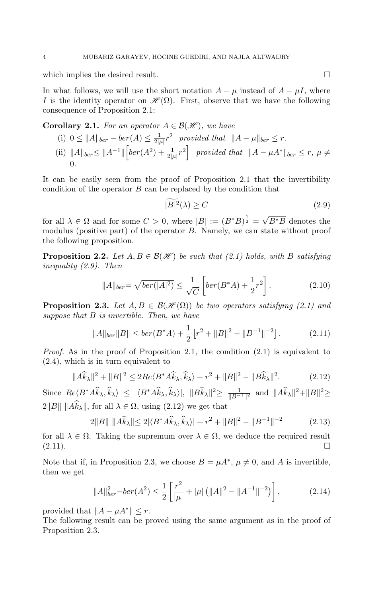which implies the desired result.  $\Box$ 

In what follows, we will use the short notation  $A - \mu$  instead of  $A - \mu I$ , where I is the identity operator on  $\mathscr{H}(\Omega)$ . First, observe that we have the following consequence of Proposition 2.1:

**Corollary 2.1.** For an operator  $A \in \mathcal{B}(\mathcal{H})$ , we have

(i) 0 ≤ ||A||<sub>ber</sub> – ber(A) ≤  $\frac{1}{2l}$  $\frac{1}{2|\mu|}r^2$  provided that  $||A - \mu||_{ber} \leq r$ . (ii)  $||A||_{ber} \leq ||A^{-1}|| \left[ ber(A^2) + \frac{1}{2|\mu|} r^2 \right]$  provided that  $||A - \mu A^*||_{ber} \leq r$ ,  $\mu \neq$ 0.

It can be easily seen from the proof of Proposition 2.1 that the invertibility condition of the operator  $B$  can be replaced by the condition that

$$
|B|^2(\lambda) \ge C \tag{2.9}
$$

for all  $\lambda \in \Omega$  and for some  $C > 0$ , where  $|B| := (B^*B)^{\frac{1}{2}} =$ √  $\overline{B^*B}$  denotes the modulus (positive part) of the operator  $B$ . Namely, we can state without proof the following proposition.

**Proposition 2.2.** Let  $A, B \in \mathcal{B}(\mathcal{H})$  be such that (2.1) holds, with B satisfying inequality (2.9). Then

$$
||A||_{ber} = \sqrt{ber(|A|^2)} \le \frac{1}{\sqrt{C}} \left[ ber(B^*A) + \frac{1}{2}r^2 \right].
$$
 (2.10)

**Proposition 2.3.** Let  $A, B \in \mathcal{B}(\mathcal{H}(\Omega))$  be two operators satisfying (2.1) and suppose that  $B$  is invertible. Then, we have

$$
||A||_{ber}||B|| \leq ber(B^*A) + \frac{1}{2} \left[ r^2 + ||B||^2 - ||B^{-1}||^{-2} \right]. \tag{2.11}
$$

*Proof.* As in the proof of Proposition 2.1, the condition  $(2.1)$  is equivalent to (2.4), which is in turn equivalent to

$$
||A\widehat{k}_{\lambda}||^{2} + ||B||^{2} \le 2Re\langle B^* A \widehat{k}_{\lambda}, \widehat{k}_{\lambda} \rangle + r^{2} + ||B||^{2} - ||B\widehat{k}_{\lambda}||^{2}.
$$
 (2.12)

Since  $Re\langle B^*A\hat{k}_{\lambda},\hat{k}_{\lambda}\rangle \leq |\langle B^*A\hat{k}_{\lambda},\hat{k}_{\lambda}\rangle|, ||B\hat{k}_{\lambda}||^2 \geq \frac{1}{\|B^{-1}\|^2}$  and  $\|A\hat{k}_{\lambda}\|^2 + \|B\|^2 \geq$ 2 $||B||$   $||A\widehat{k}_λ||$ , for all  $λ ∈ Ω$ , using (2.12) we get that

$$
2||B|| ||A\widehat{k}_{\lambda}|| \le 2|\langle B^* A \widehat{k}_{\lambda}, \widehat{k}_{\lambda}\rangle| + r^2 + ||B||^2 - ||B^{-1}||^{-2}
$$
 (2.13)

for all  $\lambda \in \Omega$ . Taking the supremum over  $\lambda \in \Omega$ , we deduce the required result  $(2.11).$ 

Note that if, in Proposition 2.3, we choose  $B = \mu A^*$ ,  $\mu \neq 0$ , and A is invertible, then we get

$$
||A||_{ber}^{2} - ber(A^{2}) \le \frac{1}{2} \left[ \frac{r^{2}}{|\mu|} + |\mu| \left( ||A||^{2} - ||A^{-1}||^{-2} \right) \right],
$$
 (2.14)

provided that  $||A - \mu A^*|| \leq r$ .

The following result can be proved using the same argument as in the proof of Proposition 2.3.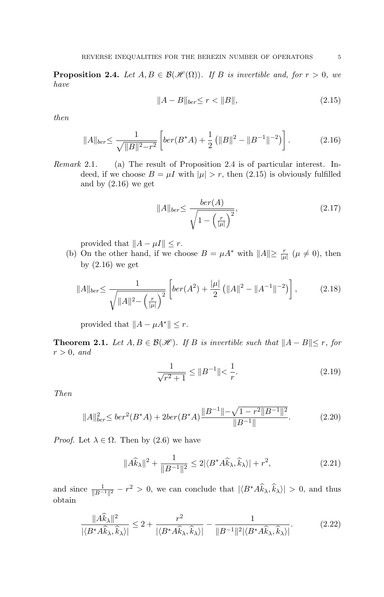**Proposition 2.4.** Let  $A, B \in \mathcal{B}(\mathcal{H}(\Omega))$ . If B is invertible and, for  $r > 0$ , we have

$$
||A - B||_{ber} \le r < ||B||,\tag{2.15}
$$

then

$$
||A||_{ber} \le \frac{1}{\sqrt{||B||^2 - r^2}} \left[ ber(B^*A) + \frac{1}{2} \left( ||B||^2 - ||B^{-1}||^{-2} \right) \right]. \tag{2.16}
$$

Remark 2.1. (a) The result of Proposition 2.4 is of particular interest. Indeed, if we choose  $B = \mu I$  with  $|\mu| > r$ , then (2.15) is obviously fulfilled and by (2.16) we get

$$
||A||_{ber} \leq \frac{ber(A)}{\sqrt{1 - \left(\frac{r}{|\mu|}\right)^2}},\tag{2.17}
$$

provided that  $||A - \mu I|| \leq r$ .

(b) On the other hand, if we choose  $B = \mu A^*$  with  $||A|| \ge \frac{r}{|\mu|}$  ( $\mu \ne 0$ ), then by  $(2.16)$  we get

$$
||A||_{ber} \le \frac{1}{\sqrt{||A||^2 - \left(\frac{r}{|\mu|}\right)^2}} \left[ ber(A^2) + \frac{|\mu|}{2} \left( ||A||^2 - ||A^{-1}||^{-2} \right) \right],
$$
 (2.18)

provided that  $||A - \mu A^*|| \leq r$ .

**Theorem 2.1.** Let  $A, B \in \mathcal{B}(\mathcal{H})$ . If B is invertible such that  $||A - B|| \leq r$ , for  $r > 0$ , and

$$
\frac{1}{\sqrt{r^2+1}} \le \|B^{-1}\| < \frac{1}{r}.\tag{2.19}
$$

Then

$$
||A||_{ber}^{2} \leq ber^{2}(B^{*}A) + 2ber(B^{*}A) \frac{||B^{-1}|| - \sqrt{1 - r^{2}||B^{-1}||^{2}}}{||B^{-1}||}. \tag{2.20}
$$

*Proof.* Let  $\lambda \in \Omega$ . Then by (2.6) we have

$$
||A\widehat{k}_{\lambda}||^{2} + \frac{1}{||B^{-1}||^{2}} \le 2|\langle B^{*}A\widehat{k}_{\lambda}, \widehat{k}_{\lambda}\rangle| + r^{2}, \qquad (2.21)
$$

and since  $\frac{1}{\|B^{-1}\|^2} - r^2 > 0$ , we can conclude that  $|\langle B^* A \hat{k}_\lambda, \hat{k}_\lambda \rangle| > 0$ , and thus obtain

$$
\frac{\|A\widehat{k}_{\lambda}\|^2}{|\langle B^*A\widehat{k}_{\lambda},\widehat{k}_{\lambda}\rangle|} \le 2 + \frac{r^2}{|\langle B^*A\widehat{k}_{\lambda},\widehat{k}_{\lambda}\rangle|} - \frac{1}{\|B^{-1}\|^2|\langle B^*A\widehat{k}_{\lambda},\widehat{k}_{\lambda}\rangle|}.
$$
(2.22)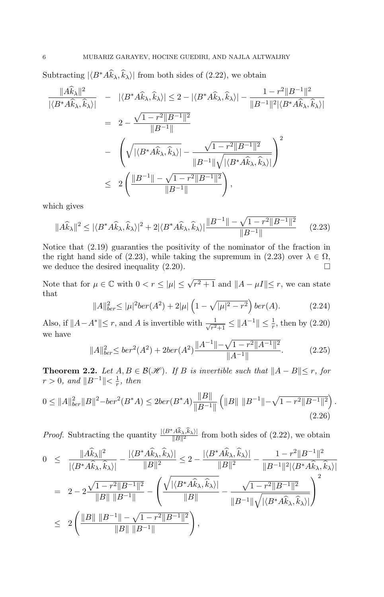Subtracting  $|\langle B^* A \hat{k}_{\lambda}, \hat{k}_{\lambda} \rangle|$  from both sides of (2.22), we obtain

$$
\frac{\|A\hat{k}_{\lambda}\|^2}{|\langle B^*A\hat{k}_{\lambda}, \hat{k}_{\lambda}\rangle|} = |\langle B^*A\hat{k}_{\lambda}, \hat{k}_{\lambda}\rangle| \le 2 - |\langle B^*A\hat{k}_{\lambda}, \hat{k}_{\lambda}\rangle| - \frac{1 - r^2 \|B^{-1}\|^2}{\|B^{-1}\|^2 |\langle B^*A\hat{k}_{\lambda}, \hat{k}_{\lambda}\rangle|}
$$
  
\n
$$
= 2 - \frac{\sqrt{1 - r^2 \|B^{-1}\|^2}}{\|B^{-1}\|}
$$
  
\n
$$
- \left(\sqrt{|\langle B^*A\hat{k}_{\lambda}, \hat{k}_{\lambda}\rangle|} - \frac{\sqrt{1 - r^2 \|B^{-1}\|^2}}{\|B^{-1}\|\sqrt{|\langle B^*A\hat{k}_{\lambda}, \hat{k}_{\lambda}\rangle|}}\right)^2
$$
  
\n
$$
\le 2 \left(\frac{\|B^{-1}\| - \sqrt{1 - r^2 \|B^{-1}\|^2}}{\|B^{-1}\|}\right),
$$

which gives

$$
||A\widehat{k}_{\lambda}||^{2} \leq |\langle B^* A \widehat{k}_{\lambda}, \widehat{k}_{\lambda} \rangle|^{2} + 2|\langle B^* A \widehat{k}_{\lambda}, \widehat{k}_{\lambda} \rangle| \frac{||B^{-1}|| - \sqrt{1 - r^{2}||B^{-1}||^{2}}}{||B^{-1}||}
$$
 (2.23)

Notice that (2.19) guaranties the positivity of the nominator of the fraction in the right hand side of (2.23), while taking the supremum in (2.23) over  $\lambda \in \Omega$ , we deduce the desired inequality  $(2.20)$ . □

Note that for  $\mu \in \mathbb{C}$  with  $0 < r \leq |\mu| \leq \sqrt{r^2 + 1}$  and  $||A - \mu I|| \leq r$ , we can state that

$$
||A||_{ber}^{2} \leq |\mu|^{2}ber(A^{2}) + 2|\mu| \left(1 - \sqrt{|\mu|^{2} - r^{2}}\right)ber(A).
$$
 (2.24)

Also, if  $||A - A^*|| \leq r$ , and A is invertible with  $\frac{1}{\sqrt{r^2}}$  $\frac{1}{r^2+1} \leq ||A^{-1}|| \leq \frac{1}{r}$ , then by  $(2.20)$ we have

$$
||A||_{ber}^{2} \leq ber^{2}(A^{2}) + 2ber(A^{2}) \frac{||A^{-1}|| - \sqrt{1 - r^{2}||A^{-1}||^{2}}}{||A^{-1}||}. \tag{2.25}
$$

**Theorem 2.2.** Let  $A, B \in \mathcal{B}(\mathcal{H})$ . If B is invertible such that  $||A - B|| \le r$ , for  $r > 0$ , and  $||B^{-1}|| < \frac{1}{r}$  $\frac{1}{r}$ , then

$$
0 \leq ||A||_{ber}^2 ||B||^2 - ber^2(B^*A) \leq 2ber(B^*A) \frac{||B||}{||B^{-1}||} \left( ||B|| ||B^{-1}|| - \sqrt{1 - r^2 ||B^{-1}||^2} \right).
$$
\n(2.26)

*Proof.* Subtracting the quantity  $\frac{|\langle B^* A \hat{k}_\lambda, \hat{k}_\lambda \rangle|}{\|B\|^2}$  from both sides of (2.22), we obtain

$$
0 \leq \frac{\|A\widehat{k}_{\lambda}\|^2}{|\langle B^*A\widehat{k}_{\lambda}, \widehat{k}_{\lambda}\rangle|} - \frac{|\langle B^*A\widehat{k}_{\lambda}, \widehat{k}_{\lambda}\rangle|}{\|B\|^2} \leq 2 - \frac{|\langle B^*A\widehat{k}_{\lambda}, \widehat{k}_{\lambda}\rangle|}{\|B\|^2} - \frac{1 - r^2\|B^{-1}\|^2}{\|B^{-1}\|^2|\langle B^*A\widehat{k}_{\lambda}, \widehat{k}_{\lambda}\rangle|}
$$
  
\n
$$
= 2 - 2\frac{\sqrt{1 - r^2\|B^{-1}\|^2}}{\|B\| \|B^{-1}\|} - \left(\frac{\sqrt{|\langle B^*A\widehat{k}_{\lambda}, \widehat{k}_{\lambda}\rangle|}}{\|B\|} - \frac{\sqrt{1 - r^2\|B^{-1}\|^2}}{\|B^{-1}\| \sqrt{|\langle B^*A\widehat{k}_{\lambda}, \widehat{k}_{\lambda}\rangle|}}\right)^2
$$
  
\n
$$
\leq 2\left(\frac{\|B\| \|B^{-1}\| - \sqrt{1 - r^2\|B^{-1}\|^2}}{\|B\| \|B^{-1}\|}\right),
$$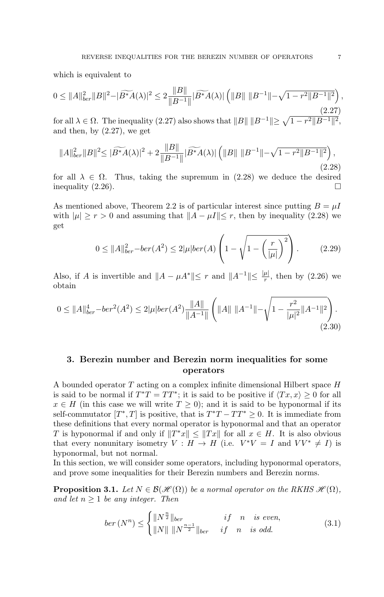which is equivalent to

$$
0 \leq \|A\|_{ber}^2 \|B\|^2 - |\widetilde{B^*A}(\lambda)|^2 \leq 2 \frac{\|B\|}{\|B^{-1}\|} |\widetilde{B^*A}(\lambda)| \left( \|B\| \|B^{-1}\| - \sqrt{1 - r^2 \|B^{-1}\|^2} \right),\tag{2.27}
$$

for all  $\lambda \in \Omega$ . The inequality (2.27) also shows that  $||B|| ||B^{-1}|| \geq \sqrt{1-r^2||B^{-1}||^2}$ , and then, by (2.27), we get

$$
||A||_{ber}^{2}||B||^{2} \leq |\widetilde{B^{*}A}(\lambda)|^{2} + 2\frac{||B||}{||B^{-1}||}|\widetilde{B^{*}A}(\lambda)| \left(||B|| \, ||B^{-1}|| - \sqrt{1 - r^{2}||B^{-1}||^{2}}\right),\tag{2.28}
$$

for all  $\lambda \in \Omega$ . Thus, taking the supremum in (2.28) we deduce the desired inequality  $(2.26)$ .  $\Box$ 

As mentioned above, Theorem 2.2 is of particular interest since putting  $B = \mu I$ with  $|\mu| \ge r > 0$  and assuming that  $||A - \mu I|| \le r$ , then by inequality (2.28) we get

$$
0 \le ||A||_{ber}^2 - ber(A^2) \le 2|\mu|ber(A) \left(1 - \sqrt{1 - \left(\frac{r}{|\mu|}\right)^2}\right). \tag{2.29}
$$

Also, if A is invertible and  $||A - \mu A^*|| \leq r$  and  $||A^{-1}|| \leq \frac{|\mu|}{r}$ , then by (2.26) we obtain

$$
0 \leq \|A\|_{ber}^4 - ber^2(A^2) \leq 2|\mu|ber(A^2)\frac{\|A\|}{\|A^{-1}\|} \left(\|A\| \|A^{-1}\| - \sqrt{1 - \frac{r^2}{|\mu|^2} \|A^{-1}\|^2}\right). \tag{2.30}
$$

# 3. Berezin number and Berezin norm inequalities for some operators

A bounded operator  $T$  acting on a complex infinite dimensional Hilbert space  $H$ is said to be normal if  $T^*T = TT^*$ ; it is said to be positive if  $\langle Tx, x \rangle \ge 0$  for all  $x \in H$  (in this case we will write  $T \geq 0$ ); and it is said to be hyponormal if its self-commutator  $[T^*,T]$  is positive, that is  $T^*T - TT^* \geq 0$ . It is immediate from these definitions that every normal operator is hyponormal and that an operator T is hyponormal if and only if  $||T^*x|| \le ||Tx||$  for all  $x \in H$ . It is also obvious that every nonunitary isometry  $V : H \to H$  (i.e.  $V^*V = I$  and  $VV^* \neq I$ ) is hyponormal, but not normal.

In this section, we will consider some operators, including hyponormal operators, and prove some inequalities for their Berezin numbers and Berezin norms.

**Proposition 3.1.** Let  $N \in \mathcal{B}(\mathcal{H}(\Omega))$  be a normal operator on the RKHS  $\mathcal{H}(\Omega)$ , and let  $n \geq 1$  be any integer. Then

$$
ber\,(N^{n}) \leq \begin{cases} \|N^{\frac{n}{2}}\|_{ber} & if \quad n \quad is \; even, \\ \|N\| \, \|N^{\frac{n-1}{2}}\|_{ber} & if \quad n \quad is \; odd. \end{cases} \tag{3.1}
$$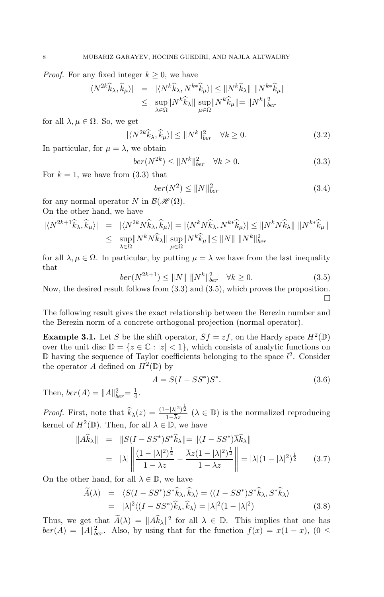*Proof.* For any fixed integer  $k \geq 0$ , we have

$$
\begin{array}{rcl} |\langle N^{2k}\widehat{k}_{\lambda},\widehat{k}_{\mu}\rangle| &=& |\langle N^{k}\widehat{k}_{\lambda},N^{k*}\widehat{k}_{\mu}\rangle| \leq \|N^{k}\widehat{k}_{\lambda}\|\,\,\|N^{k*}\widehat{k}_{\mu}\|\\ &\leq& \sup_{\lambda\in\Omega}\|N^{k}\widehat{k}_{\lambda}\|\,\sup_{\mu\in\Omega}\|N^{k}\widehat{k}_{\mu}\| = \|N^{k}\|_{ber}^{2} \end{array}
$$

for all  $\lambda, \mu \in \Omega$ . So, we get

$$
|\langle N^{2k}\hat{k}_{\lambda}, \hat{k}_{\mu}\rangle| \le ||N^k||_{ber}^2 \quad \forall k \ge 0.
$$
 (3.2)

In particular, for  $\mu = \lambda$ , we obtain

$$
ber(N^{2k}) \le ||N^k||_{ber}^2 \quad \forall k \ge 0. \tag{3.3}
$$

For  $k = 1$ , we have from (3.3) that

$$
ber(N^2) \le ||N||_{ber}^2 \tag{3.4}
$$

for any normal operator N in  $\mathcal{B}(\mathcal{H}(\Omega)).$ On the other hand, we have

$$
\begin{aligned} |\langle N^{2k+1}\hat{k}_{\lambda},\hat{k}_{\mu}\rangle| &= |\langle N^{2k}N\hat{k}_{\lambda},\hat{k}_{\mu}\rangle| = |\langle N^{k}N\hat{k}_{\lambda},N^{k*}\hat{k}_{\mu}\rangle| \leq ||N^{k}N\hat{k}_{\lambda}|| \, ||N^{k*}\hat{k}_{\mu}|| \\ &\leq \sup_{\lambda\in\Omega} ||N^{k}N\hat{k}_{\lambda}|| \sup_{\mu\in\Omega} ||N^{k}\hat{k}_{\mu}|| \leq ||N|| \, ||N^{k}||_{ber}^{2} \end{aligned}
$$

for all  $\lambda, \mu \in \Omega$ . In particular, by putting  $\mu = \lambda$  we have from the last inequality that

$$
ber(N^{2k+1}) \le ||N|| \, ||N^k||_{ber}^2 \quad \forall k \ge 0. \tag{3.5}
$$

Now, the desired result follows from (3.3) and (3.5), which proves the proposition. □

The following result gives the exact relationship between the Berezin number and the Berezin norm of a concrete orthogonal projection (normal operator).

**Example 3.1.** Let S be the shift operator,  $Sf = zf$ , on the Hardy space  $H^2(\mathbb{D})$ over the unit disc  $\mathbb{D} = \{z \in \mathbb{C} : |z| < 1\}$ , which consists of analytic functions on  $\mathbb D$  having the sequence of Taylor coefficients belonging to the space  $l^2$ . Consider the operator A defined on  $H^2(\mathbb{D})$  by

$$
A = S(I - SS^*)S^*.
$$
 (3.6)

Then,  $ber(A) = ||A||_{ber}^{2} = \frac{1}{4}$  $\frac{1}{4}$ .

*Proof.* First, note that  $\widehat{k}_{\lambda}(z) = \frac{(1-|\lambda|^2)^{\frac{1}{2}}}{1-\overline{\lambda}z}$   $(\lambda \in \mathbb{D})$  is the normalized reproducing kernel of  $H^2(\mathbb{D})$ . Then, for all  $\lambda \in \mathbb{D}$ , we have

$$
\begin{aligned}\n\|\widehat{A}\widehat{k}_{\lambda}\| &= \|\widehat{S}(I - SS^*)S^*\widehat{k}_{\lambda}\| = \|(I - SS^*)\widehat{\lambda}\widehat{k}_{\lambda}\| \\
&= |\lambda| \left\|\frac{(1 - |\lambda|^2)^{\frac{1}{2}}}{1 - \overline{\lambda}z} - \frac{\overline{\lambda}z(1 - |\lambda|^2)^{\frac{1}{2}}}{1 - \overline{\lambda}z}\right\| = |\lambda|(1 - |\lambda|^2)^{\frac{1}{2}} \tag{3.7}\n\end{aligned}
$$

On the other hand, for all  $\lambda \in \mathbb{D}$ , we have

$$
\widetilde{A}(\lambda) = \langle S(I - SS^*)S^*\hat{k}_{\lambda}, \hat{k}_{\lambda} \rangle = \langle (I - SS^*)S^*\hat{k}_{\lambda}, S^*\hat{k}_{\lambda} \rangle
$$
  
\n
$$
= |\lambda|^2 \langle (I - SS^*)\hat{k}_{\lambda}, \hat{k}_{\lambda} \rangle = |\lambda|^2 (1 - |\lambda|^2)
$$
(3.8)

Thus, we get that  $\widetilde{A}(\lambda) = ||A\widehat{k}_{\lambda}||^2$  for all  $\lambda \in \mathbb{D}$ . This implies that one has  $ber(A) = ||A||_{ber}^2$ . Also, by using that for the function  $f(x) = x(1-x)$ ,  $(0 \le$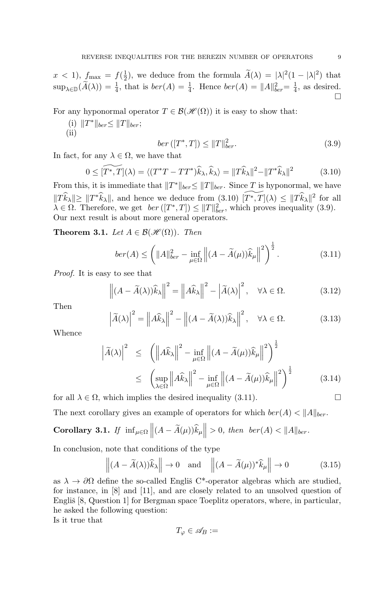$x < 1$ ),  $f_{\text{max}} = f(\frac{1}{2})$  $\frac{1}{2}$ , we deduce from the formula  $\tilde{A}(\lambda) = |\lambda|^2 (1 - |\lambda|^2)$  that  $\sup_{\lambda \in \mathbb{D}} (\widetilde{A}(\lambda)) = \frac{1}{4}$ , that is  $ber(A) = \frac{1}{4}$ . Hence  $ber(A) = ||A||_{ber}^2 = \frac{1}{4}$  $\frac{1}{4}$ , as desired. □

For any hyponormal operator  $T \in \mathcal{B}(\mathcal{H}(\Omega))$  it is easy to show that:

(i)  $||T^*||_{ber} \leq ||T||_{ber}$ ;  $(ii)$ 

$$
ber ([T^*, T]) \le ||T||_{ber}^2.
$$
 (3.9)

In fact, for any  $\lambda \in \Omega$ , we have that

$$
0 \leq \widetilde{[T^*,T]}(\lambda) = \langle (T^*T - TT^*)\widehat{k}_{\lambda}, \widehat{k}_{\lambda} \rangle = ||T\widehat{k}_{\lambda}||^2 - ||T^*\widehat{k}_{\lambda}||^2 \tag{3.10}
$$

From this, it is immediate that  $||T^*||_{ber} \le ||T||_{ber}$ . Since T is hyponormal, we have  $||T\widehat{k}_{\lambda}|| \geq ||T^*\widehat{k}_{\lambda}||$ , and hence we deduce from  $(3.10)$   $[\widetilde{T^*, T}](\lambda) \leq ||T\widehat{k}_{\lambda}||^2$  for all  $\lambda \in \Omega$ . Therefore, we get  $\text{ber } ([T^*, T]) \leq ||T||_{ber}^2$ , which proves inequality (3.9). Our next result is about more general operators.

**Theorem 3.1.** Let  $A \in \mathcal{B}(\mathcal{H}(\Omega))$ . Then

$$
ber(A) \le \left(\|A\|_{ber}^2 - \inf_{\mu \in \Omega} \left\|(A - \widetilde{A}(\mu))\widehat{k}_{\mu}\right\|^2\right)^{\frac{1}{2}}.\tag{3.11}
$$

Proof. It is easy to see that

$$
\left\| (A - \widetilde{A}(\lambda)) \widehat{k}_{\lambda} \right\|^2 = \left\| A \widehat{k}_{\lambda} \right\|^2 - \left| \widetilde{A}(\lambda) \right|^2, \quad \forall \lambda \in \Omega. \tag{3.12}
$$

Then

$$
\left|\widetilde{A}(\lambda)\right|^2 = \left\|A\widehat{k}_{\lambda}\right\|^2 - \left\|(A - \widetilde{A}(\lambda))\widehat{k}_{\lambda}\right\|^2, \quad \forall \lambda \in \Omega. \tag{3.13}
$$

Whence

$$
\left|\widetilde{A}(\lambda)\right|^2 \leq \left(\left\|A\widehat{k}_{\lambda}\right\|^2 - \inf_{\mu \in \Omega} \left\|(A - \widetilde{A}(\mu))\widehat{k}_{\mu}\right\|^2\right)^{\frac{1}{2}}
$$
  

$$
\leq \left(\sup_{\lambda \in \Omega} \left\|A\widehat{k}_{\lambda}\right\|^2 - \inf_{\mu \in \Omega} \left\|(A - \widetilde{A}(\mu))\widehat{k}_{\mu}\right\|^2\right)^{\frac{1}{2}} \tag{3.14}
$$

for all  $\lambda \in \Omega$ , which implies the desired inequality (3.11).

The next corollary gives an example of operators for which  $\text{ber}(A) < ||A||_{\text{ber}}$ .

Corollary 3.1. If  $\inf_{\mu \in \Omega} ||(A - \widetilde{A}(\mu))\widehat{k}_{\mu}|| > 0$ , then  $ber(A) < ||A||_{ber}$ .

In conclusion, note that conditions of the type

$$
\left\| (A - \widetilde{A}(\lambda)) \widehat{k}_{\lambda} \right\| \to 0 \quad \text{and} \quad \left\| (A - \widetilde{A}(\mu))^* \widehat{k}_{\mu} \right\| \to 0 \tag{3.15}
$$

as  $\lambda \to \partial\Omega$  define the so-called Englis C<sup>\*</sup>-operator algebras which are studied, for instance, in [8] and [11], and are closely related to an unsolved question of Engliš  $[8, Q$ uestion 1 $]$  for Bergman space Toeplitz operators, where, in particular, he asked the following question:

Is it true that

$$
T_{\varphi} \in \mathscr{A}_B :=
$$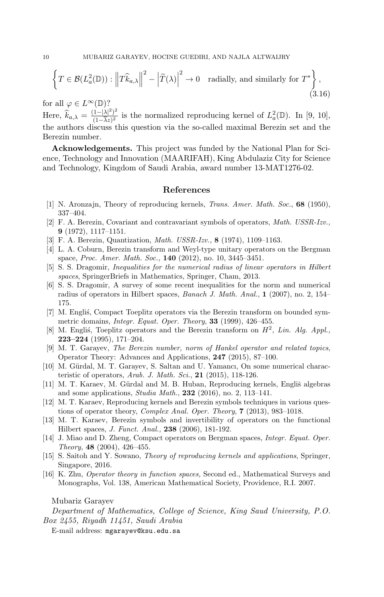$$
\left\{ T \in \mathcal{B}(L^2_a(\mathbb{D})) : \left\| T \widehat{k}_{a,\lambda} \right\|^2 - \left| \widetilde{T}(\lambda) \right|^2 \to 0 \quad \text{radially, and similarly for } T^* \right\},\tag{3.16}
$$

for all  $\varphi \in L^{\infty}(\mathbb{D})$ ?

Here,  $\widehat{k}_{a,\lambda} = \frac{(1-|\lambda|^2)^2}{(1-\overline{\lambda}z)^2}$  $\frac{(1-|\lambda|^2)^2}{(1-\overline{\lambda}z)^2}$  is the normalized reproducing kernel of  $L^2_a(\mathbb{D})$ . In [9, 10], the authors discuss this question via the so-called maximal Berezin set and the Berezin number.

Acknowledgements. This project was funded by the National Plan for Science, Technology and Innovation (MAARIFAH), King Abdulaziz City for Science and Technology, Kingdom of Saudi Arabia, award number 13-MAT1276-02.

#### References

- [1] N. Aronzajn, Theory of reproducing kernels, Trans. Amer. Math. Soc., 68 (1950), 337–404.
- [2] F. A. Berezin, Covariant and contravariant symbols of operators, Math. USSR-Izv., 9 (1972), 1117–1151.
- [3] F. A. Berezin, Quantization, Math. USSR-Izv., 8 (1974), 1109–1163.
- [4] L. A. Coburn, Berezin transform and Weyl-type unitary operators on the Bergman space, Proc. Amer. Math. Soc., 140 (2012), no. 10, 3445–3451.
- [5] S. S. Dragomir, Inequalities for the numerical radius of linear operators in Hilbert spaces, SpringerBriefs in Mathematics, Springer, Cham, 2013.
- [6] S. S. Dragomir, A survey of some recent inequalities for the norm and numerical radius of operators in Hilbert spaces, Banach J. Math. Anal., 1 (2007), no. 2, 154– 175.
- [7] M. Englis, Compact Toeplitz operators via the Berezin transform on bounded symmetric domains, Integr. Equat. Oper. Theory, 33 (1999), 426–455.
- [8] M. Englis, Toeplitz operators and the Berezin transform on  $H^2$ , Lin. Alg. Appl., 223–224 (1995), 171–204.
- [9] M. T. Garayev, The Berezin number, norm of Hankel operator and related topics, Operator Theory: Advances and Applications, 247 (2015), 87–100.
- [10] M. Gürdal, M. T. Garayev, S. Saltan and U. Yamancı, On some numerical characteristic of operators, Arab. J. Math. Sci., 21 (2015), 118-126.
- [11] M. T. Karaev, M. Gürdal and M. B. Huban, Reproducing kernels, Englis̆ algebras and some applications, Studia Math., 232 (2016), no. 2, 113–141.
- [12] M. T. Karaev, Reproducing kernels and Berezin symbols techniques in various questions of operator theory, Complex Anal. Oper. Theory, 7 (2013), 983–1018.
- [13] M. T. Karaev, Berezin symbols and invertibility of operators on the functional Hilbert spaces, J. Funct. Anal., 238 (2006), 181-192.
- [14] J. Miao and D. Zheng, Compact operators on Bergman spaces, Integr. Equat. Oper. Theory, 48 (2004), 426–455.
- [15] S. Saitoh and Y. Sowano, Theory of reproducing kernels and applications, Springer, Singapore, 2016.
- [16] K. Zhu, Operator theory in function spaces, Second ed., Mathematical Surveys and Monographs, Vol. 138, American Mathematical Society, Providence, R.I. 2007.

## Mubariz Garayev

Department of Mathematics, College of Science, King Saud University, P.O. Box 2455, Riyadh 11451, Saudi Arabia

E-mail address: mgarayev@ksu.edu.sa